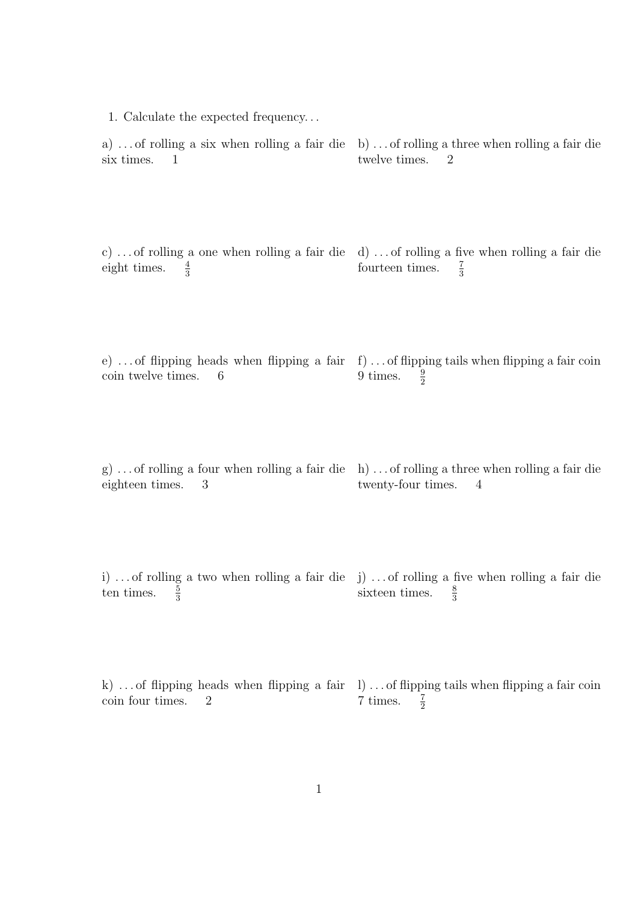1. Calculate the expected frequency. . . a) . . . of rolling a six when rolling a fair die six times. 1 b) . . . of rolling a three when rolling a fair die twelve times. 2 c)... of rolling a one when rolling a fair die d)... of rolling a five when rolling a fair die eight times.  $\frac{4}{3}$ fourteen times.  $rac{7}{3}$ e)... of flipping heads when flipping a fair f)... of flipping tails when flipping a fair coin coin twelve times. 6 9 times.  $rac{9}{2}$ g) . . . of rolling a four when rolling a fair die h) . . . of rolling a three when rolling a fair die eighteen times. 3 twenty-four times. 4 i)... of rolling a two when rolling a fair die j)... of rolling a five when rolling a fair die ten times.  $\frac{5}{3}$ sixteen times.  $\frac{8}{3}$ 

k)... of flipping heads when flipping a fair 1... of flipping tails when flipping a fair coin coin four times. 2  $7$  times.  $rac{7}{2}$